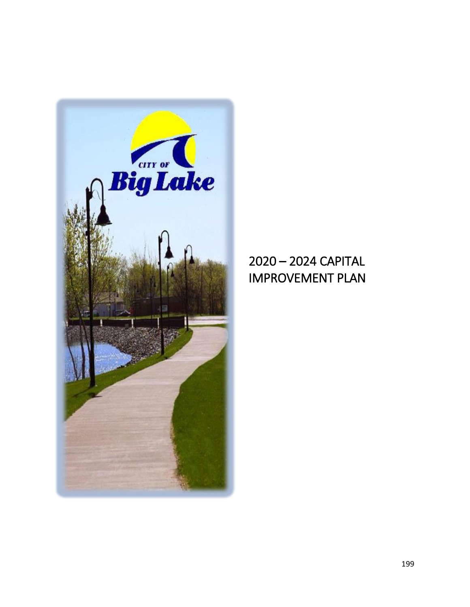

## – 2024 CAPITAL IMPROVEMENT PLAN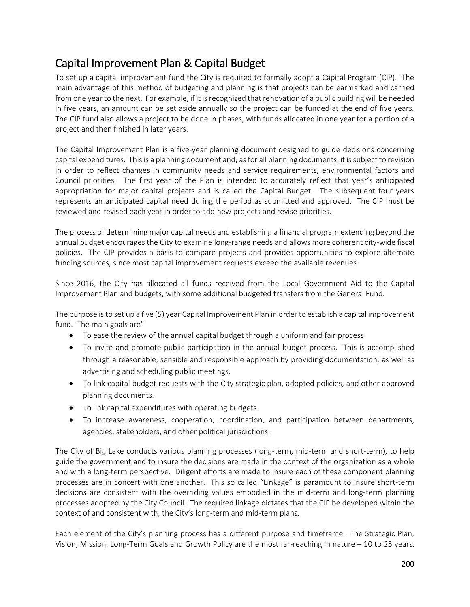### Capital Improvement Plan & Capital Budget

To set up a capital improvement fund the City is required to formally adopt a Capital Program (CIP). The main advantage of this method of budgeting and planning is that projects can be earmarked and carried from one year to the next. For example, if it is recognized that renovation of a public building will be needed in five years, an amount can be set aside annually so the project can be funded at the end of five years. The CIP fund also allows a project to be done in phases, with funds allocated in one year for a portion of a project and then finished in later years.

The Capital Improvement Plan is a five-year planning document designed to guide decisions concerning capital expenditures. This is a planning document and, as for all planning documents, it is subject to revision in order to reflect changes in community needs and service requirements, environmental factors and Council priorities. The first year of the Plan is intended to accurately reflect that year's anticipated appropriation for major capital projects and is called the Capital Budget. The subsequent four years represents an anticipated capital need during the period as submitted and approved. The CIP must be reviewed and revised each year in order to add new projects and revise priorities.

The process of determining major capital needs and establishing a financial program extending beyond the annual budget encourages the City to examine long-range needs and allows more coherent city-wide fiscal policies. The CIP provides a basis to compare projects and provides opportunities to explore alternate funding sources, since most capital improvement requests exceed the available revenues.

Since 2016, the City has allocated all funds received from the Local Government Aid to the Capital Improvement Plan and budgets, with some additional budgeted transfers from the General Fund.

The purpose is to set up a five (5) year Capital Improvement Plan in order to establish a capital improvement fund. The main goals are"

- To ease the review of the annual capital budget through a uniform and fair process
- To invite and promote public participation in the annual budget process. This is accomplished through a reasonable, sensible and responsible approach by providing documentation, as well as advertising and scheduling public meetings.
- To link capital budget requests with the City strategic plan, adopted policies, and other approved planning documents.
- To link capital expenditures with operating budgets.
- To increase awareness, cooperation, coordination, and participation between departments, agencies, stakeholders, and other political jurisdictions.

The City of Big Lake conducts various planning processes (long-term, mid-term and short-term), to help guide the government and to insure the decisions are made in the context of the organization as a whole and with a long-term perspective. Diligent efforts are made to insure each of these component planning processes are in concert with one another. This so called "Linkage" is paramount to insure short-term decisions are consistent with the overriding values embodied in the mid-term and long-term planning processes adopted by the City Council. The required linkage dictates that the CIP be developed within the context of and consistent with, the City's long-term and mid-term plans.

Each element of the City's planning process has a different purpose and timeframe. The Strategic Plan, Vision, Mission, Long-Term Goals and Growth Policy are the most far-reaching in nature – 10 to 25 years.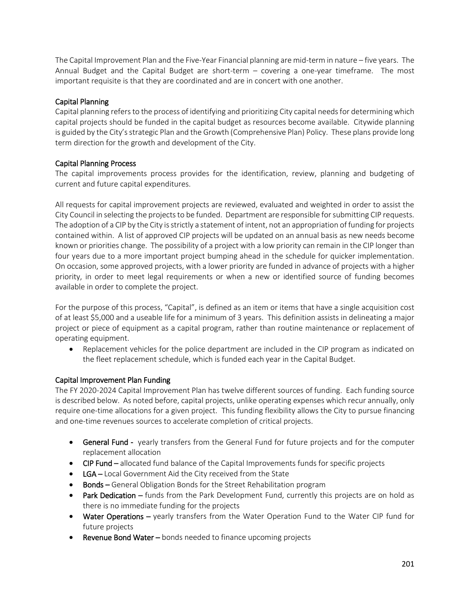The Capital Improvement Plan and the Five-Year Financial planning are mid-term in nature – five years. The Annual Budget and the Capital Budget are short-term – covering a one-year timeframe. The most important requisite is that they are coordinated and are in concert with one another.

#### Capital Planning

Capital planning refers to the process of identifying and prioritizing City capital needs for determining which capital projects should be funded in the capital budget as resources become available. Citywide planning is guided by the City's strategic Plan and the Growth (Comprehensive Plan) Policy. These plans provide long term direction for the growth and development of the City.

#### Capital Planning Process

The capital improvements process provides for the identification, review, planning and budgeting of current and future capital expenditures.

All requests for capital improvement projects are reviewed, evaluated and weighted in order to assist the City Council in selecting the projects to be funded. Department are responsible for submitting CIP requests. The adoption of a CIP by the City is strictly a statement of intent, not an appropriation of funding for projects contained within. A list of approved CIP projects will be updated on an annual basis as new needs become known or priorities change. The possibility of a project with a low priority can remain in the CIP longer than four years due to a more important project bumping ahead in the schedule for quicker implementation. On occasion, some approved projects, with a lower priority are funded in advance of projects with a higher priority, in order to meet legal requirements or when a new or identified source of funding becomes available in order to complete the project.

For the purpose of this process, "Capital", is defined as an item or items that have a single acquisition cost of at least \$5,000 and a useable life for a minimum of 3 years. This definition assists in delineating a major project or piece of equipment as a capital program, rather than routine maintenance or replacement of operating equipment.

 Replacement vehicles for the police department are included in the CIP program as indicated on the fleet replacement schedule, which is funded each year in the Capital Budget.

#### Capital Improvement Plan Funding

The FY 2020-2024 Capital Improvement Plan has twelve different sources of funding. Each funding source is described below. As noted before, capital projects, unlike operating expenses which recur annually, only require one-time allocations for a given project. This funding flexibility allows the City to pursue financing and one-time revenues sources to accelerate completion of critical projects.

- **General Fund -** yearly transfers from the General Fund for future projects and for the computer replacement allocation
- CIP Fund allocated fund balance of the Capital Improvements funds for specific projects
- LGA Local Government Aid the City received from the State
- Bonds General Obligation Bonds for the Street Rehabilitation program
- **Park Dedication –** funds from the Park Development Fund, currently this projects are on hold as there is no immediate funding for the projects
- Water Operations yearly transfers from the Water Operation Fund to the Water CIP fund for future projects
- **Revenue Bond Water**  $-$  bonds needed to finance upcoming projects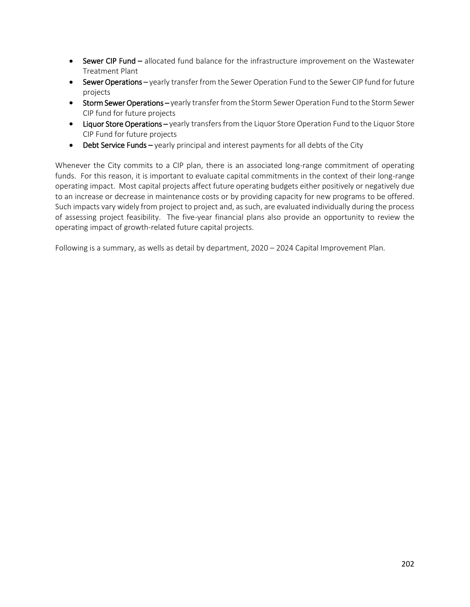- Sewer CIP Fund allocated fund balance for the infrastructure improvement on the Wastewater Treatment Plant
- Sewer Operations yearly transfer from the Sewer Operation Fund to the Sewer CIP fund for future projects
- **Storm Sewer Operations –** yearly transfer from the Storm Sewer Operation Fund to the Storm Sewer CIP fund for future projects
- Liquor Store Operations yearly transfers from the Liquor Store Operation Fund to the Liquor Store CIP Fund for future projects
- $\bullet$  Debt Service Funds yearly principal and interest payments for all debts of the City

Whenever the City commits to a CIP plan, there is an associated long-range commitment of operating funds. For this reason, it is important to evaluate capital commitments in the context of their long-range operating impact. Most capital projects affect future operating budgets either positively or negatively due to an increase or decrease in maintenance costs or by providing capacity for new programs to be offered. Such impacts vary widely from project to project and, as such, are evaluated individually during the process of assessing project feasibility. The five-year financial plans also provide an opportunity to review the operating impact of growth-related future capital projects.

Following is a summary, as wells as detail by department, 2020 – 2024 Capital Improvement Plan.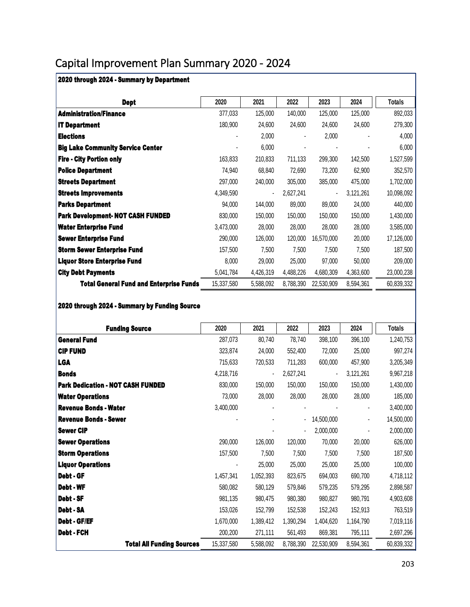## Capital Improvement Plan Summary 2020 - 2024

| 2020 through 2024 - Summary by Department      |            |                |           |                |           |               |
|------------------------------------------------|------------|----------------|-----------|----------------|-----------|---------------|
| Dept                                           | 2020       | 2021           | 2022      | 2023           | 2024      | <b>Totals</b> |
| <b>Administration/Finance</b>                  | 377,033    | 125,000        | 140,000   | 125,000        | 125,000   | 892,033       |
| <b>IT Department</b>                           | 180,900    | 24,600         | 24,600    | 24,600         | 24,600    | 279,300       |
| <b>Elections</b>                               |            | 2,000          |           | 2,000          |           | 4,000         |
| <b>Big Lake Community Service Center</b>       |            | 6,000          |           |                |           | 6,000         |
| <b>Fire - City Portion only</b>                | 163,833    | 210,833        | 711,133   | 299,300        | 142,500   | 1,527,599     |
| <b>Police Department</b>                       | 74,940     | 68,840         | 72,690    | 73,200         | 62,900    | 352,570       |
| <b>Streets Department</b>                      | 297,000    | 240,000        | 305,000   | 385,000        | 475,000   | 1,702,000     |
| <b>Streets Improvements</b>                    | 4,349,590  | $\blacksquare$ | 2,627,241 | $\blacksquare$ | 3,121,261 | 10,098,092    |
| <b>Parks Department</b>                        | 94,000     | 144,000        | 89,000    | 89,000         | 24,000    | 440,000       |
| <b>Park Development- NOT CASH FUNDED</b>       | 830,000    | 150,000        | 150,000   | 150,000        | 150,000   | 1,430,000     |
| <b>Water Enterprise Fund</b>                   | 3,473,000  | 28,000         | 28,000    | 28,000         | 28,000    | 3,585,000     |
| <b>Sewer Enterprise Fund</b>                   | 290,000    | 126,000        | 120,000   | 16,570,000     | 20,000    | 17,126,000    |
| <b>Storm Sewer Enterprise Fund</b>             | 157,500    | 7,500          | 7,500     | 7,500          | 7,500     | 187,500       |
| <b>Liquor Store Enterprise Fund</b>            | 8,000      | 29,000         | 25,000    | 97,000         | 50,000    | 209,000       |
| <b>City Debt Payments</b>                      | 5,041,784  | 4,426,319      | 4,488,226 | 4,680,309      | 4,363,600 | 23,000,238    |
| <b>Total General Fund and Enterprise Funds</b> | 15,337,580 | 5,588,092      | 8,788,390 | 22,530,909     | 8,594,361 | 60,839,332    |

2020 through 2024 - Summary by Funding Source

| <b>Funding Source</b>                    | 2020       | 2021           | 2022      | 2023           | 2024           | Totals     |
|------------------------------------------|------------|----------------|-----------|----------------|----------------|------------|
| <b>General Fund</b>                      | 287,073    | 80,740         | 78,740    | 398,100        | 396,100        | 1,240,753  |
| <b>CIP FUND</b>                          | 323,874    | 24,000         | 552,400   | 72,000         | 25,000         | 997,274    |
| <b>LGA</b>                               | 715,633    | 720,533        | 711,283   | 600,000        | 457,900        | 3,205,349  |
| <b>Bonds</b>                             | 4,218,716  | $\blacksquare$ | 2,627,241 | $\blacksquare$ | 3,121,261      | 9,967,218  |
| <b>Park Dedication - NOT CASH FUNDED</b> | 830,000    | 150,000        | 150,000   | 150,000        | 150,000        | 1,430,000  |
| <b>Water Operations</b>                  | 73,000     | 28,000         | 28,000    | 28,000         | 28,000         | 185,000    |
| <b>Revenue Bonds - Water</b>             | 3,400,000  |                |           |                |                | 3,400,000  |
| <b>Revenue Bonds - Sewer</b>             |            |                |           | 14,500,000     | $\blacksquare$ | 14,500,000 |
| <b>Sewer CIP</b>                         |            |                |           | 2,000,000      |                | 2,000,000  |
| <b>Sewer Operations</b>                  | 290,000    | 126,000        | 120,000   | 70,000         | 20,000         | 626,000    |
| <b>Storm Operations</b>                  | 157,500    | 7,500          | 7,500     | 7,500          | 7,500          | 187,500    |
| <b>Liquor Operations</b>                 |            | 25,000         | 25,000    | 25,000         | 25,000         | 100,000    |
| Debt - GF                                | 1,457,341  | 1,052,393      | 823,675   | 694,003        | 690,700        | 4,718,112  |
| Debt - WF                                | 580,082    | 580,129        | 579,846   | 579,235        | 579,295        | 2,898,587  |
| Debt - SF                                | 981,135    | 980,475        | 980,380   | 980,827        | 980,791        | 4,903,608  |
| Debt - SA                                | 153,026    | 152,799        | 152,538   | 152,243        | 152,913        | 763,519    |
| Debt - GF/EF                             | 1,670,000  | 1,389,412      | 1,390,294 | 1,404,620      | 1,164,790      | 7,019,116  |
| Debt - FCH                               | 200,200    | 271,111        | 561,493   | 869,381        | 795,111        | 2,697,296  |
| <b>Total All Funding Sources</b>         | 15,337,580 | 5,588,092      | 8,788,390 | 22,530,909     | 8,594,361      | 60,839,332 |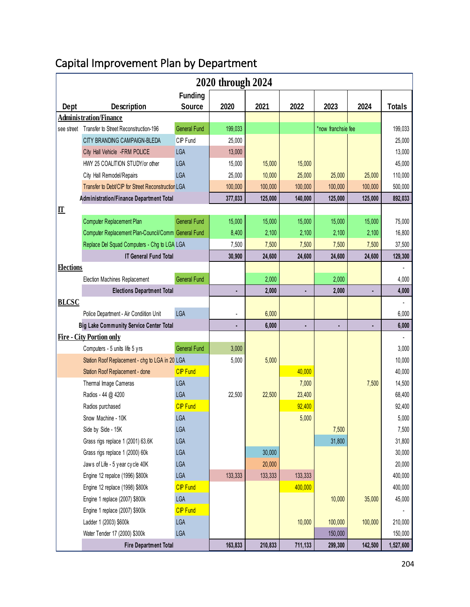# Capital Improvement Plan by Department

| 2020 through 2024 |                                                     |                     |         |         |                |                    |         |               |
|-------------------|-----------------------------------------------------|---------------------|---------|---------|----------------|--------------------|---------|---------------|
|                   |                                                     | <b>Funding</b>      |         |         |                |                    |         |               |
| Dept              | <b>Description</b>                                  | <b>Source</b>       | 2020    | 2021    | 2022           | 2023               | 2024    | <b>Totals</b> |
|                   | <b>Administration/Finance</b>                       |                     |         |         |                |                    |         |               |
| see street        | Transfer to Street Reconstruction-196               | <b>General Fund</b> | 199,033 |         |                | *now franchsie fee |         | 199,033       |
|                   | CITY BRANDING CAMPAIGN-BLEDA                        | CIP Fund            | 25,000  |         |                |                    |         | 25,000        |
|                   | City Hall Vehicle -FRM POLICE                       | <b>LGA</b>          | 13,000  |         |                |                    |         | 13,000        |
|                   | HWY 25 COALITION STUDY/or other                     | <b>LGA</b>          | 15,000  | 15,000  | 15,000         |                    |         | 45,000        |
|                   | City Hall Remodel/Repairs                           | <b>LGA</b>          | 25,000  | 10,000  | 25,000         | 25,000             | 25,000  | 110,000       |
|                   | Transfer to Debt/CIP for Street Reconstruction LGA  |                     | 100,000 | 100,000 | 100,000        | 100,000            | 100,000 | 500,000       |
|                   | Administration/Finance Department Total             |                     | 377,033 | 125,000 | 140,000        | 125,000            | 125,000 | 892,033       |
| ${\bf I}$         |                                                     |                     |         |         |                |                    |         |               |
|                   | Computer Replacement Plan                           | <b>General Fund</b> | 15,000  | 15,000  | 15,000         | 15,000             | 15,000  | 75,000        |
|                   | Computer Replacement Plan-Council/Comm General Fund |                     | 8,400   | 2,100   | 2,100          | 2,100              | 2,100   | 16,800        |
|                   | Replace Del Squad Computers - Chg to LGA LGA        |                     | 7,500   | 7,500   | 7,500          | 7,500              | 7,500   | 37,500        |
|                   | <b>IT General Fund Total</b>                        |                     | 30,900  | 24,600  | 24,600         | 24,600             | 24,600  | 129,300       |
| <b>Elections</b>  |                                                     |                     |         |         |                |                    |         |               |
|                   | Election Machines Replacement                       | <b>General Fund</b> |         | 2,000   |                | 2,000              |         | 4,000         |
|                   | <b>Elections Department Total</b>                   |                     |         | 2,000   | ۰              | 2,000              |         | 4,000         |
| <b>BLCSC</b>      |                                                     |                     |         |         |                |                    |         |               |
|                   | Police Department - Air Condition Unit              | <b>LGA</b>          |         | 6,000   |                |                    |         | 6,000         |
|                   | <b>Big Lake Community Service Center Total</b>      |                     |         | 6,000   | $\blacksquare$ |                    |         | 6,000         |
|                   | <b>Fire - City Portion only</b>                     |                     |         |         |                |                    |         |               |
|                   | Computers - 5 units life 5 yrs                      | <b>General Fund</b> | 3,000   |         |                |                    |         | 3,000         |
|                   | Station Roof Replacement - chg to LGA in 20 LGA     |                     | 5,000   | 5,000   |                |                    |         | 10,000        |
|                   | Station Roof Replacement - done                     | <b>CIP Fund</b>     |         |         | 40,000         |                    |         | 40,000        |
|                   | Thermal Image Cameras                               | <b>LGA</b>          |         |         | 7,000          |                    | 7,500   | 14,500        |
|                   | Radios - 44 @ 4200                                  | <b>LGA</b>          | 22,500  | 22,500  | 23,400         |                    |         | 68,400        |
|                   | Radios purchased                                    | <b>CIP</b> Fund     |         |         | 92,400         |                    |         | 92,400        |
|                   | Snow Machine - 10K                                  | LGA                 |         |         | 5,000          |                    |         | 5,000         |
|                   | Side by Side - 15K                                  | <b>LGA</b>          |         |         |                | 7,500              |         | 7,500         |
|                   | Grass rigs replace 1 (2001) 63.6K                   | <b>LGA</b>          |         |         |                | 31,800             |         | 31,800        |
|                   | Grass rigs replace 1 (2000) 60k                     | <b>LGA</b>          |         | 30,000  |                |                    |         | 30,000        |
|                   | Jaws of Life - 5 year cycle 40K                     | <b>LGA</b>          |         | 20,000  |                |                    |         | 20,000        |
|                   | Engine 12 repalce (1996) \$800k                     | <b>LGA</b>          | 133,333 | 133,333 | 133,333        |                    |         | 400,000       |
|                   | Engine 12 replace (1998) \$800k                     | <b>CIP Fund</b>     |         |         | 400,000        |                    |         | 400,000       |
|                   | Engine 1 replace (2007) \$800k                      | <b>LGA</b>          |         |         |                | 10,000             | 35,000  | 45,000        |
|                   | Engine 1 replace (2007) \$900k                      | <b>CIP Fund</b>     |         |         |                |                    |         |               |
|                   | Ladder 1 (2003) \$600k                              | <b>LGA</b>          |         |         | 10,000         | 100,000            | 100,000 | 210,000       |
|                   | Water Tender 17 (2000) \$300k                       | <b>LGA</b>          |         |         |                | 150,000            |         | 150,000       |
|                   | <b>Fire Department Total</b>                        |                     | 163,833 | 210,833 | 711,133        | 299,300            | 142,500 | 1,527,600     |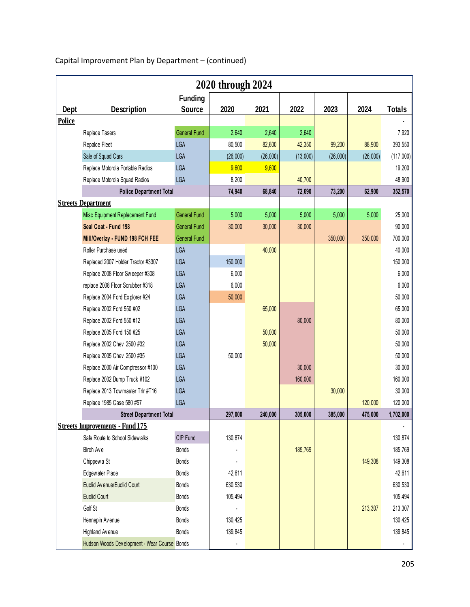|               |                                              |                     | 2020 through 2024 |          |          |          |          |               |
|---------------|----------------------------------------------|---------------------|-------------------|----------|----------|----------|----------|---------------|
|               |                                              | <b>Funding</b>      |                   |          |          |          |          |               |
| Dept          | <b>Description</b>                           | <b>Source</b>       | 2020              | 2021     | 2022     | 2023     | 2024     | <b>Totals</b> |
| <b>Police</b> |                                              |                     |                   |          |          |          |          |               |
|               | Replace Tasers                               | <b>General Fund</b> | 2,640             | 2,640    | 2,640    |          |          | 7,920         |
|               | Repalce Fleet                                | <b>LGA</b>          | 80,500            | 82,600   | 42,350   | 99,200   | 88,900   | 393,550       |
|               | Sale of Squad Cars                           | <b>LGA</b>          | (26,000)          | (26,000) | (13,000) | (26,000) | (26,000) | (117,000)     |
|               | Replace Motorola Portable Radios             | <b>LGA</b>          | 9,600             | 9,600    |          |          |          | 19,200        |
|               | Replace Motorola Squad Radios                | <b>LGA</b>          | 8,200             |          | 40,700   |          |          | 48,900        |
|               | <b>Police Department Total</b>               |                     | 74,940            | 68,840   | 72,690   | 73,200   | 62,900   | 352,570       |
|               | <b>Streets Department</b>                    |                     |                   |          |          |          |          |               |
|               | Misc Equipment Replacement Fund              | <b>General Fund</b> | 5,000             | 5,000    | 5,000    | 5,000    | 5,000    | 25,000        |
|               | Seal Coat - Fund 198                         | <b>General Fund</b> | 30,000            | 30,000   | 30,000   |          |          | 90,000        |
|               | Mill/Overlay - FUND 198 FCH FEE              | <b>General Fund</b> |                   |          |          | 350,000  | 350,000  | 700,000       |
|               | Roller Purchase used                         | <b>LGA</b>          |                   | 40,000   |          |          |          | 40,000        |
|               | Replaced 2007 Holder Tractor #3307           | <b>LGA</b>          | 150,000           |          |          |          |          | 150,000       |
|               | Replace 2008 Floor Sweeper #308              | <b>LGA</b>          | 6,000             |          |          |          |          | 6,000         |
|               | replace 2008 Floor Scrubber #318             | <b>LGA</b>          | 6,000             |          |          |          |          | 6,000         |
|               | Replace 2004 Ford Explorer #24               | <b>LGA</b>          | 50,000            |          |          |          |          | 50,000        |
|               | Replace 2002 Ford 550 #02                    | <b>LGA</b>          |                   | 65,000   |          |          |          | 65,000        |
|               | Replace 2002 Ford 550 #12                    | <b>LGA</b>          |                   |          | 80,000   |          |          | 80,000        |
|               | Replace 2005 Ford 150 #25                    | <b>LGA</b>          |                   | 50,000   |          |          |          | 50,000        |
|               | Replace 2002 Chev 2500 #32                   | <b>LGA</b>          |                   | 50,000   |          |          |          | 50,000        |
|               | Replace 2005 Chev 2500 #35                   | <b>LGA</b>          | 50,000            |          |          |          |          | 50,000        |
|               | Replace 2000 Air Comptressor #100            | <b>LGA</b>          |                   |          | 30,000   |          |          | 30,000        |
|               | Replace 2002 Dump Truck #102                 | <b>LGA</b>          |                   |          | 160,000  |          |          | 160,000       |
|               | Replace 2013 Tow master Trlr #T16            | <b>LGA</b>          |                   |          |          | 30,000   |          | 30,000        |
|               | Replace 1985 Case 580 #57                    | <b>LGA</b>          |                   |          |          |          | 120,000  | 120,000       |
|               | <b>Street Department Total</b>               |                     | 297,000           | 240,000  | 305,000  | 385,000  | 475,000  | 1,702,000     |
|               | <b>Streets Improvements - Fund 175</b>       |                     |                   |          |          |          |          |               |
|               | Safe Route to School Sidewalks               | CIP Fund            | 130,874           |          |          |          |          | 130,874       |
|               | Birch Ave                                    | <b>Bonds</b>        |                   |          | 185,769  |          |          | 185,769       |
|               | Chippewa St                                  | <b>Bonds</b>        |                   |          |          |          | 149,308  | 149,308       |
|               | Edgewater Place                              | <b>Bonds</b>        | 42,611            |          |          |          |          | 42,611        |
|               | Euclid Avenue/Euclid Court                   | <b>Bonds</b>        | 630,530           |          |          |          |          | 630,530       |
|               | <b>Euclid Court</b>                          | <b>Bonds</b>        | 105,494           |          |          |          |          | 105,494       |
|               | Golf St                                      | <b>Bonds</b>        |                   |          |          |          | 213,307  | 213,307       |
|               | Hennepin Avenue                              | <b>Bonds</b>        | 130,425           |          |          |          |          | 130,425       |
|               | Highland Avenue                              | <b>Bonds</b>        | 139,845           |          |          |          |          | 139,845       |
|               | Hudson Woods Development - Wear Course Bonds |                     |                   |          |          |          |          |               |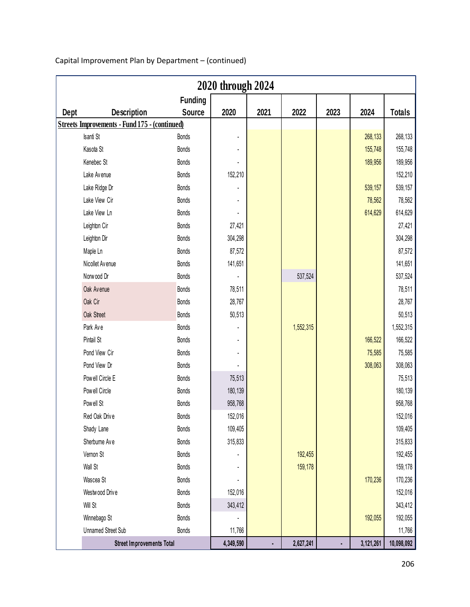|      |                                                      |                | 2020 through 2024 |      |           |      |           |               |
|------|------------------------------------------------------|----------------|-------------------|------|-----------|------|-----------|---------------|
|      |                                                      | <b>Funding</b> |                   |      |           |      |           |               |
| Dept | <b>Description</b>                                   | <b>Source</b>  | 2020              | 2021 | 2022      | 2023 | 2024      | <b>Totals</b> |
|      | <b>Streets Improvements - Fund 175 - (continued)</b> |                |                   |      |           |      |           |               |
|      | Isanti St                                            | <b>Bonds</b>   |                   |      |           |      | 268,133   | 268,133       |
|      | Kasota St                                            | <b>Bonds</b>   |                   |      |           |      | 155,748   | 155,748       |
|      | Kenebec St                                           | <b>Bonds</b>   |                   |      |           |      | 189,956   | 189,956       |
|      | Lake Avenue                                          | <b>Bonds</b>   | 152,210           |      |           |      |           | 152,210       |
|      | Lake Ridge Dr                                        | <b>Bonds</b>   |                   |      |           |      | 539,157   | 539,157       |
|      | Lake View Cir                                        | <b>Bonds</b>   |                   |      |           |      | 78,562    | 78,562        |
|      | Lake View Ln                                         | <b>Bonds</b>   |                   |      |           |      | 614,629   | 614,629       |
|      | Leighton Cir                                         | <b>Bonds</b>   | 27,421            |      |           |      |           | 27,421        |
|      | Leighton Dir                                         | <b>Bonds</b>   | 304,298           |      |           |      |           | 304,298       |
|      | Maple Ln                                             | <b>Bonds</b>   | 87,572            |      |           |      |           | 87,572        |
|      | Nicollet Avenue                                      | <b>Bonds</b>   | 141,651           |      |           |      |           | 141,651       |
|      | Norwood Dr                                           | <b>Bonds</b>   |                   |      | 537,524   |      |           | 537,524       |
|      | Oak Avenue                                           | <b>Bonds</b>   | 78,511            |      |           |      |           | 78,511        |
|      | Oak Cir                                              | <b>Bonds</b>   | 28,767            |      |           |      |           | 28,767        |
|      | Oak Street                                           | <b>Bonds</b>   | 50,513            |      |           |      |           | 50,513        |
|      | Park Ave                                             | <b>Bonds</b>   |                   |      | 1,552,315 |      |           | 1,552,315     |
|      | Pintail St                                           | <b>Bonds</b>   |                   |      |           |      | 166,522   | 166,522       |
|      | Pond View Cir                                        | <b>Bonds</b>   |                   |      |           |      | 75,585    | 75,585        |
|      | Pond View Dr                                         | <b>Bonds</b>   |                   |      |           |      | 308,063   | 308,063       |
|      | Powell Circle E                                      | <b>Bonds</b>   | 75,513            |      |           |      |           | 75,513        |
|      | Powell Circle                                        | <b>Bonds</b>   | 180,139           |      |           |      |           | 180,139       |
|      | Powell St                                            | <b>Bonds</b>   | 958,768           |      |           |      |           | 958,768       |
|      | Red Oak Drive                                        | <b>Bonds</b>   | 152,016           |      |           |      |           | 152,016       |
|      | Shady Lane                                           | <b>Bonds</b>   | 109,405           |      |           |      |           | 109,405       |
|      | Sherburne Ave                                        | <b>Bonds</b>   | 315,833           |      |           |      |           | 315,833       |
|      | Vernon St                                            | <b>Bonds</b>   |                   |      | 192,455   |      |           | 192,455       |
|      | Wall St                                              | <b>Bonds</b>   |                   |      | 159,178   |      |           | 159,178       |
|      | Wascea St                                            | <b>Bonds</b>   |                   |      |           |      | 170,236   | 170,236       |
|      | Westwood Drive                                       | <b>Bonds</b>   | 152,016           |      |           |      |           | 152,016       |
|      | Will St                                              | <b>Bonds</b>   | 343,412           |      |           |      |           | 343,412       |
|      | Winnebago St                                         | <b>Bonds</b>   |                   |      |           |      | 192,055   | 192,055       |
|      | <b>Unnamed Street Sub</b>                            | <b>Bonds</b>   | 11,766            |      |           |      |           | 11,766        |
|      | <b>Street Improvements Total</b>                     |                | 4,349,590         | ٠    | 2,627,241 | ٠    | 3,121,261 | 10,098,092    |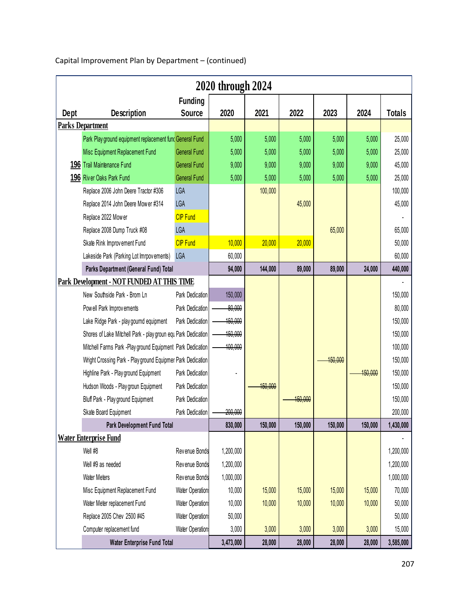|      |                                                               |                     | 2020 through 2024 |         |         |         |         |               |
|------|---------------------------------------------------------------|---------------------|-------------------|---------|---------|---------|---------|---------------|
|      |                                                               | <b>Funding</b>      |                   |         |         |         |         |               |
| Dept | <b>Description</b>                                            | <b>Source</b>       | 2020              | 2021    | 2022    | 2023    | 2024    | <b>Totals</b> |
|      | <b>Parks Department</b>                                       |                     |                   |         |         |         |         |               |
|      | Park Play ground equipment replacement fund General Fund      |                     | 5,000             | 5,000   | 5,000   | 5,000   | 5,000   | 25,000        |
|      | Misc Equipment Replacement Fund                               | <b>General Fund</b> | 5,000             | 5,000   | 5,000   | 5,000   | 5,000   | 25,000        |
|      | 196 Trail Maintenance Fund                                    | <b>General Fund</b> | 9,000             | 9,000   | 9,000   | 9,000   | 9,000   | 45,000        |
|      | 196 River Oaks Park Fund                                      | <b>General Fund</b> | 5,000             | 5,000   | 5,000   | 5,000   | 5,000   | 25,000        |
|      | Replace 2006 John Deere Tractor #306                          | <b>LGA</b>          |                   | 100,000 |         |         |         | 100,000       |
|      | Replace 2014 John Deere Mower #314                            | <b>LGA</b>          |                   |         | 45,000  |         |         | 45,000        |
|      | Replace 2022 Mower                                            | <b>CIP Fund</b>     |                   |         |         |         |         |               |
|      | Replace 2008 Dump Truck #08                                   | <b>LGA</b>          |                   |         |         | 65,000  |         | 65,000        |
|      | Skate Rink Improvement Fund                                   | <b>CIP Fund</b>     | 10,000            | 20,000  | 20,000  |         |         | 50,000        |
|      | Lakeside Park (Parking Lot Imrpov ements)                     | <b>LGA</b>          | 60,000            |         |         |         |         | 60,000        |
|      | Parks Department (General Fund) Total                         |                     |                   | 144,000 | 89,000  | 89,000  | 24,000  | 440,000       |
|      | <b>Park Development - NOT FUNDED AT THIS TIME</b>             |                     |                   |         |         |         |         |               |
|      | New Southside Park - Brom Ln                                  | Park Dedication     | 150,000           |         |         |         |         | 150,000       |
|      | Powell Park Improvements                                      | Park Dedication     | 80,000            |         |         |         |         | 80,000        |
|      | Lake Ridge Park - play gournd equipment                       | Park Dedication     | 450,000           |         |         |         |         | 150,000       |
|      | Shores of Lake Mitchell Park - play groun equ Park Dedication |                     | 450,000           |         |         |         |         | 150,000       |
|      | Mitchell Farms Park -Play ground Equipment Park Dedication    |                     | 400.000           |         |         |         |         | 100,000       |
|      | Wright Crossing Park - Play ground Equipmer Park Dedication   |                     |                   |         |         | 450,000 |         | 150,000       |
|      | Highline Park - Play ground Equipment                         | Park Dedication     |                   |         |         |         | 150,000 | 150,000       |
|      | Hudson Woods - Play groun Equipment                           | Park Dedication     |                   | 150.000 |         |         |         | 150,000       |
|      | Bluff Park - Play ground Equipment                            | Park Dedication     |                   |         | 150.000 |         |         | 150,000       |
|      | Skate Board Equipment                                         | Park Dedication     | 200,000           |         |         |         |         | 200,000       |
|      | Park Development Fund Total                                   |                     | 830,000           | 150,000 | 150,000 | 150,000 | 150,000 | 1,430,000     |
|      | <b>Water Enterprise Fund</b>                                  |                     |                   |         |         |         |         |               |
|      | Well #8                                                       | Revenue Bonds       | 1,200,000         |         |         |         |         | 1,200,000     |
|      | Well #9 as needed                                             | Revenue Bonds       | 1,200,000         |         |         |         |         | 1,200,000     |
|      |                                                               |                     |                   |         |         |         |         |               |

Water Meters Rev enue Bonds - Water 1,000,000 1,000,000

Misc Equipment Replacement Fund Water Operation 10,000 15,000 15,000 15,000 15,000 15,000 70,000 Water Meter replacement Fund Water Operation: 10,000 10,000 10,000 10,000 10,000 10,000 50,000 Misc Equipment Replacement Fund Water Operation: 10,000 15,000 15,000 15,000 15,000 15,000 16,000 70,000 16,000<br>Water Meter replacement Fund Water Operation: 50,000 10,000 10,000 10,000 10,000 10,000 50,000 50,000 50,000 5

Computer replacement fund Water Operation 3,000 3,000 3,000 3,000 3,000 3,000 3,000 15,000

**Water Enterprise Fund Total 3,473,000 28,000 28,000 28,000 28,000 3,585,000**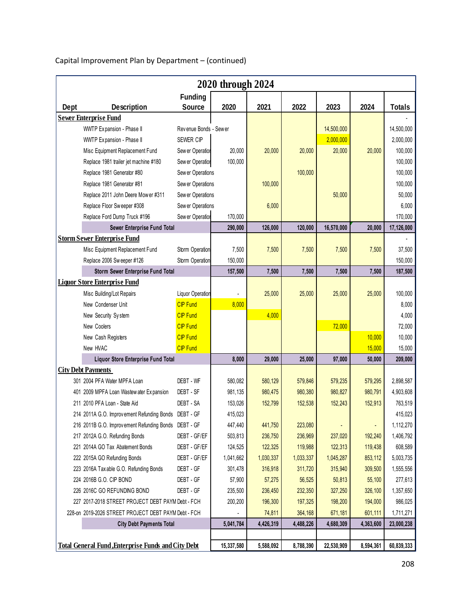|      | 2020 through 2024                                         |                                 |            |           |           |            |                |               |
|------|-----------------------------------------------------------|---------------------------------|------------|-----------|-----------|------------|----------------|---------------|
| Dept | <b>Description</b>                                        | <b>Funding</b><br><b>Source</b> | 2020       | 2021      | 2022      | 2023       | 2024           | <b>Totals</b> |
|      | <b>Sewer Enterprise Fund</b>                              |                                 |            |           |           |            |                |               |
|      | WWTP Expansion - Phase II                                 | Revenue Bonds - Sewer           |            |           |           | 14,500,000 |                | 14,500,000    |
|      | WWTP Expansion - Phase II                                 | SEWER CIP                       |            |           |           | 2,000,000  |                | 2,000,000     |
|      | Misc Equipment Replacement Fund                           | Sew er Operation                | 20,000     | 20,000    | 20,000    | 20,000     | 20,000         | 100,000       |
|      | Replace 1981 trailer jet machine #180                     | Sew er Operation                | 100,000    |           |           |            |                | 100,000       |
|      | Replace 1981 Generator #80                                | Sew er Operations               |            |           | 100,000   |            |                | 100,000       |
|      | Replace 1981 Generator #81                                | Sew er Operations               |            | 100,000   |           |            |                | 100,000       |
|      | Replace 2011 John Deere Mower #311                        | Sew er Operations               |            |           |           | 50,000     |                | 50,000        |
|      | Replace Floor Sweeper #308                                | Sew er Operations               |            | 6,000     |           |            |                | 6,000         |
|      | Replace Ford Dump Truck #196                              | Sew er Operation                | 170,000    |           |           |            |                | 170,000       |
|      | Sewer Enterprise Fund Total                               |                                 | 290,000    | 126,000   | 120,000   | 16,570,000 | 20,000         | 17,126,000    |
|      | <b>Storm Sewer Enterprise Fund</b>                        |                                 |            |           |           |            |                |               |
|      | Misc Equipment Replacement Fund                           | Storm Operation                 | 7,500      | 7,500     | 7,500     | 7,500      | 7,500          | 37,500        |
|      | Replace 2006 Sweeper #126                                 | Storm Operation                 | 150,000    |           |           |            |                | 150,000       |
|      | Storm Sewer Enterprise Fund Total                         |                                 | 157,500    | 7,500     | 7,500     | 7,500      | 7,500          | 187,500       |
|      | <b>Liquor Store Enterprise Fund</b>                       |                                 |            |           |           |            |                |               |
|      | Misc Building/Lot Repairs                                 | Liquor Operation                |            | 25,000    | 25,000    | 25,000     | 25,000         | 100,000       |
|      | New Condenser Unit                                        | <b>CIP Fund</b>                 | 8,000      |           |           |            |                | 8,000         |
|      | New Security System                                       | <b>CIP Fund</b>                 |            | 4,000     |           |            |                | 4,000         |
|      | New Coolers                                               | <b>CIP Fund</b>                 |            |           |           | 72,000     |                | 72,000        |
|      | New Cash Registers                                        | <b>CIP Fund</b>                 |            |           |           |            | 10,000         | 10,000        |
|      | New HVAC                                                  | <b>CIP Fund</b>                 |            |           |           |            | 15,000         | 15,000        |
|      | Liquor Store Enterprise Fund Total                        |                                 | 8,000      | 29,000    | 25,000    | 97,000     | 50,000         | 209,000       |
|      | <b>City Debt Payments</b>                                 |                                 |            |           |           |            |                |               |
|      | 301 2004 PFA Water MPFA Loan                              | DEBT - WF                       | 580,082    | 580,129   | 579,846   | 579,235    | 579,295        | 2,898,587     |
|      | 401 2009 MPFA Loan Wastew ater Expansion                  | DEBT - SF                       | 981,135    | 980,475   | 980,380   | 980,827    | 980,791        | 4,903,608     |
|      | 211 2010 PFA Loan - State Aid                             | DEBT - SA                       | 153,026    | 152,799   | 152,538   | 152,243    | 152,913        | 763,519       |
|      | 214 2011A G.O. Improvement Refunding Bonds                | DEBT - GF                       | 415,023    |           |           |            |                | 415,023       |
|      | 216 2011B G.O. Improvement Refunding Bonds DEBT - GF      |                                 | 447,440    | 441,750   | 223,080   |            | $\blacksquare$ | 1,112,270     |
|      | 217 2012A G.O. Refunding Bonds                            | DEBT - GF/EF                    | 503,813    | 236,750   | 236,969   | 237,020    | 192,240        | 1,406,792     |
|      | 221 2014A GO Tax Abatement Bonds                          | DEBT - GF/EF                    | 124,525    | 122,325   | 119,988   | 122,313    | 119,438        | 608,589       |
|      | 222 2015A GO Refunding Bonds                              | DEBT - GF/EF                    | 1,041,662  | 1,030,337 | 1,033,337 | 1,045,287  | 853,112        | 5,003,735     |
|      | 223 2016A Tax able G.O. Refunding Bonds                   | DEBT - GF                       | 301,478    | 316,918   | 311,720   | 315,940    | 309,500        | 1,555,556     |
|      | 224 2016B G.O. CIP BOND                                   | DEBT - GF                       | 57,900     | 57,275    | 56,525    | 50,813     | 55,100         | 277,613       |
|      | 226 2016C GO REFUNDING BOND                               | DEBT - GF                       | 235,500    | 236,450   | 232,350   | 327,250    | 326,100        | 1,357,650     |
|      | 227 2017-2018 STREET PROJECT DEBT PAYM Debt - FCH         |                                 | 200,200    | 196,300   | 197,325   | 198,200    | 194,000        | 986,025       |
|      | 228-on 2019-2026 STREET PROJECT DEBT PAYM Debt - FCH      |                                 |            | 74,811    | 364,168   | 671,181    | 601,111        | 1,711,271     |
|      | <b>City Debt Payments Total</b>                           |                                 | 5,041,784  | 4,426,319 | 4,488,226 | 4,680,309  | 4,363,600      | 23,000,238    |
|      |                                                           |                                 |            |           |           |            |                |               |
|      | <b>Total General Fund, Enterprise Funds and City Debt</b> |                                 | 15,337,580 | 5,588,092 | 8,788,390 | 22,530,909 | 8,594,361      | 60,839,333    |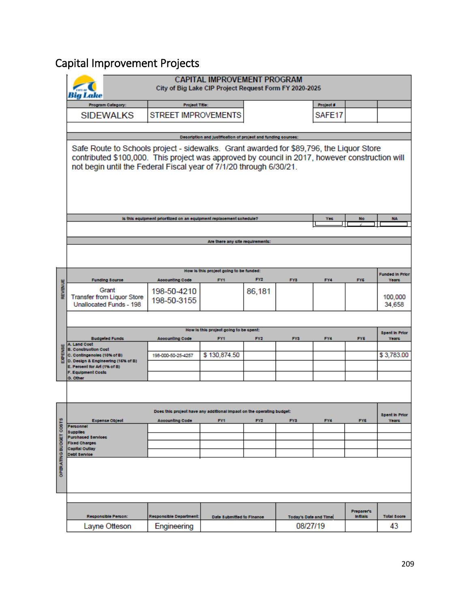## Capital Improvement Projects

|                         |                                                                                                                                                                                                                                                                 | City of Big Lake CIP Project Request Form FY 2020-2025                | <b>CAPITAL IMPROVEMENT PROGRAM</b>                            |                 |                              |           |                               |                                       |  |  |
|-------------------------|-----------------------------------------------------------------------------------------------------------------------------------------------------------------------------------------------------------------------------------------------------------------|-----------------------------------------------------------------------|---------------------------------------------------------------|-----------------|------------------------------|-----------|-------------------------------|---------------------------------------|--|--|
|                         | Program Category:                                                                                                                                                                                                                                               | <b>Project Title:</b>                                                 |                                                               |                 |                              | Project # |                               |                                       |  |  |
|                         | <b>SIDEWALKS</b>                                                                                                                                                                                                                                                | <b>STREET IMPROVEMENTS</b>                                            |                                                               |                 |                              | SAFE17    |                               |                                       |  |  |
|                         |                                                                                                                                                                                                                                                                 |                                                                       |                                                               |                 |                              |           |                               |                                       |  |  |
|                         |                                                                                                                                                                                                                                                                 |                                                                       | Decoription and justification of project and funding cources: |                 |                              |           |                               |                                       |  |  |
|                         | Safe Route to Schools project - sidewalks. Grant awarded for \$89,796, the Liquor Store<br>contributed \$100,000. This project was approved by council in 2017, however construction will<br>not begin until the Federal Fiscal year of 7/1/20 through 6/30/21. |                                                                       |                                                               |                 |                              |           |                               |                                       |  |  |
|                         |                                                                                                                                                                                                                                                                 | is this equipment prioritized on an equipment replacement schedule?   |                                                               |                 |                              | Yec       | No                            | <b>NA</b>                             |  |  |
|                         |                                                                                                                                                                                                                                                                 |                                                                       |                                                               |                 |                              |           |                               |                                       |  |  |
|                         | Are there any ofte requirements:                                                                                                                                                                                                                                |                                                                       |                                                               |                 |                              |           |                               |                                       |  |  |
|                         |                                                                                                                                                                                                                                                                 |                                                                       |                                                               |                 |                              |           |                               |                                       |  |  |
|                         | <b>Funding Source</b>                                                                                                                                                                                                                                           | <b>Accounting Code</b>                                                | How is this project going to be funded:<br>FY1                | FY <sub>2</sub> | FY3                          | FY4       | FY6                           | <b>Funded In Prior</b><br>Years       |  |  |
| REVENUE                 | Grant<br><b>Transfer from Liquor Store</b><br>Unallocated Funds - 198                                                                                                                                                                                           | 198-50-4210<br>198-50-3155                                            |                                                               | 86,181          |                              |           |                               | 100,000<br>34,658                     |  |  |
|                         | How is this project going to be spent:                                                                                                                                                                                                                          |                                                                       |                                                               |                 |                              |           |                               |                                       |  |  |
|                         | <b>Budgeted Funds</b>                                                                                                                                                                                                                                           | <b>Accounting Code</b>                                                | FY1                                                           | FY2             | FY3                          | FY4       | FY6                           | <b>Spent In Prior</b><br><b>Years</b> |  |  |
|                         | A. Land Cost<br><b>B. Construction Cost</b>                                                                                                                                                                                                                     |                                                                       |                                                               |                 |                              |           |                               |                                       |  |  |
| EXPENSE                 | C. Contingenoles (10% of B)                                                                                                                                                                                                                                     | 198-000-50-25-4257                                                    | \$130,874.50                                                  |                 |                              |           |                               | \$3,783.00                            |  |  |
|                         | D. Design & Engineering (15% of B)<br>E. Percent for Art (1% of B)                                                                                                                                                                                              |                                                                       |                                                               |                 |                              |           |                               |                                       |  |  |
|                         | <b>F. Equipment Costs</b><br>G. Other                                                                                                                                                                                                                           |                                                                       |                                                               |                 |                              |           |                               |                                       |  |  |
|                         |                                                                                                                                                                                                                                                                 |                                                                       |                                                               |                 |                              |           |                               |                                       |  |  |
|                         |                                                                                                                                                                                                                                                                 | Does this project have any additional impact on the operating budget: |                                                               |                 |                              |           |                               | <b>Spent In Pric</b>                  |  |  |
| COSTS                   | <b>Expense Object</b><br>Personnel                                                                                                                                                                                                                              | <b>Accounting Code</b>                                                | FY1                                                           | FY <sub>2</sub> | FY <sub>3</sub>              | FY4       | FY6                           | Years                                 |  |  |
|                         | <b>Supplies</b>                                                                                                                                                                                                                                                 |                                                                       |                                                               |                 |                              |           |                               |                                       |  |  |
|                         | <b>Purchased Services</b><br><b>Fixed Charges</b>                                                                                                                                                                                                               |                                                                       |                                                               |                 |                              |           |                               |                                       |  |  |
|                         | <b>Capital Outlay</b><br>Debt Service                                                                                                                                                                                                                           |                                                                       |                                                               |                 |                              |           |                               |                                       |  |  |
| <b>OPERATING BUDGET</b> |                                                                                                                                                                                                                                                                 |                                                                       |                                                               |                 |                              |           |                               |                                       |  |  |
|                         |                                                                                                                                                                                                                                                                 |                                                                       |                                                               |                 |                              |           |                               |                                       |  |  |
|                         | Responsible Person:                                                                                                                                                                                                                                             | Responsible Department:                                               | Date Submitted to Finance                                     |                 | <b>Today's Date and Time</b> |           | Preparent:<br><b>Initials</b> | <b>Total Soore</b>                    |  |  |
|                         | Layne Otteson                                                                                                                                                                                                                                                   | Engineering                                                           |                                                               |                 | 08/27/19                     |           |                               | 43                                    |  |  |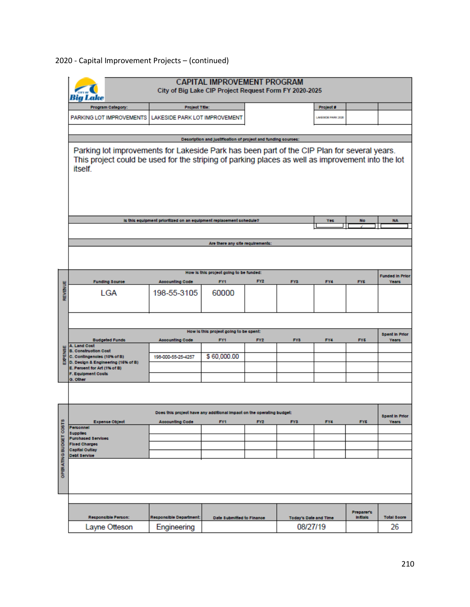|                                        |                                                                                                                                                                                                             | City of Big Lake CIP Project Request Form FY 2020-2025                | <b>CAPITAL IMPROVEMENT PROGRAM</b>                            |                 |                       |                    |                                      |                                 |
|----------------------------------------|-------------------------------------------------------------------------------------------------------------------------------------------------------------------------------------------------------------|-----------------------------------------------------------------------|---------------------------------------------------------------|-----------------|-----------------------|--------------------|--------------------------------------|---------------------------------|
|                                        | Program Category:                                                                                                                                                                                           | <b>Project Title:</b>                                                 |                                                               |                 |                       | Project #          |                                      |                                 |
|                                        | PARKING LOT IMPROVEMENTS                                                                                                                                                                                    | LAKESIDE PARK LOT IMPROVEMENT                                         |                                                               |                 |                       | LANESIDE PARK 2020 |                                      |                                 |
|                                        |                                                                                                                                                                                                             |                                                                       |                                                               |                 |                       |                    |                                      |                                 |
|                                        |                                                                                                                                                                                                             |                                                                       | Decoription and justification of project and funding cources: |                 |                       |                    |                                      |                                 |
|                                        | Parking lot improvements for Lakeside Park has been part of the CIP Plan for several years.<br>This project could be used for the striping of parking places as well as improvement into the lot<br>itself. |                                                                       |                                                               |                 |                       |                    |                                      |                                 |
|                                        |                                                                                                                                                                                                             | is this equipment prioritized on an equipment replacement schedule?   |                                                               |                 |                       | Yec                | No                                   | <b>NA</b>                       |
|                                        |                                                                                                                                                                                                             |                                                                       |                                                               |                 |                       |                    |                                      |                                 |
|                                        | Are there any offe requirements:                                                                                                                                                                            |                                                                       |                                                               |                 |                       |                    |                                      |                                 |
|                                        |                                                                                                                                                                                                             |                                                                       |                                                               |                 |                       |                    |                                      |                                 |
|                                        | <b>Funding Source</b>                                                                                                                                                                                       | <b>Accounting Code</b>                                                | How is this project going to be funded:<br>FY1                | FY <sub>2</sub> | FY3                   | FY4                | FY6                                  | <b>Funded In Prior</b><br>Years |
| REVENUE                                | LGA                                                                                                                                                                                                         | 198-55-3105                                                           | 60000                                                         |                 |                       |                    |                                      |                                 |
| How is this project going to be spent: |                                                                                                                                                                                                             |                                                                       |                                                               |                 |                       |                    |                                      |                                 |
|                                        | <b>Budgeted Funds</b>                                                                                                                                                                                       | <b>Accounting Code</b>                                                | FY1                                                           | FY <sub>2</sub> | FY3                   | FY4                | FY6                                  | <b>Spent In Prior</b><br>Years  |
|                                        | A. Land Cost<br><b>B. Construction Cost</b>                                                                                                                                                                 |                                                                       |                                                               |                 |                       |                    |                                      |                                 |
| EXPENSE                                | C. Contingenoles (10% of B)                                                                                                                                                                                 | 198-000-55-25-4257                                                    | \$60,000.00                                                   |                 |                       |                    |                                      |                                 |
|                                        | D. Design & Engineering (15% of B)<br>E. Percent for Art (1% of B)                                                                                                                                          |                                                                       |                                                               |                 |                       |                    |                                      |                                 |
|                                        | <b>F. Equipment Costs</b><br>G. Other                                                                                                                                                                       |                                                                       |                                                               |                 |                       |                    |                                      |                                 |
|                                        |                                                                                                                                                                                                             |                                                                       |                                                               |                 |                       |                    |                                      |                                 |
|                                        |                                                                                                                                                                                                             | Does this project have any additional impact on the operating budget: |                                                               |                 |                       |                    |                                      | <b>Spent In Prior</b>           |
| COST <sub>S</sub>                      | <b>Expense Object</b><br>Personnel                                                                                                                                                                          | <b>Accounting Code</b>                                                | FY1                                                           | FY <sub>2</sub> | FY <sub>3</sub>       | FY4                | FY <sub>6</sub>                      | Years                           |
|                                        | <b>Supplies</b><br><b>Purchased Services</b>                                                                                                                                                                |                                                                       |                                                               |                 |                       |                    |                                      |                                 |
|                                        | <b>Fixed Charges</b><br><b>Capital Outlay</b>                                                                                                                                                               |                                                                       |                                                               |                 |                       |                    |                                      |                                 |
| OPERATING BUDGET                       | Debt Service                                                                                                                                                                                                |                                                                       |                                                               |                 |                       |                    |                                      |                                 |
|                                        |                                                                                                                                                                                                             |                                                                       |                                                               |                 |                       |                    |                                      |                                 |
|                                        | Responsible Person:                                                                                                                                                                                         | Responsible Department:                                               | Date Submitted to Finance                                     |                 | Today's Date and Time |                    | <b>Proparer's</b><br><b>Initials</b> | <b>Total Soore</b>              |
|                                        | Layne Otteson                                                                                                                                                                                               | Engineering                                                           |                                                               |                 | 08/27/19              |                    |                                      | 26                              |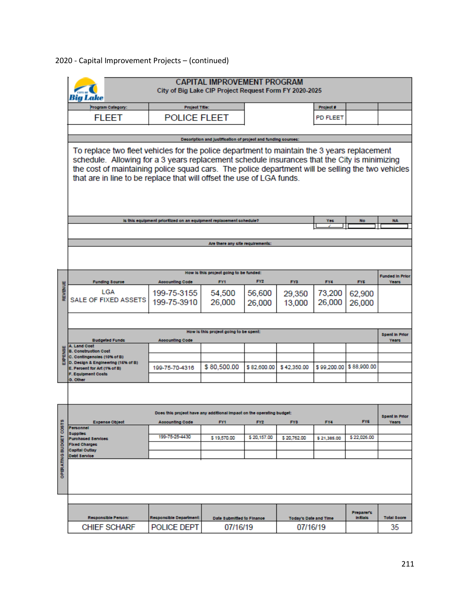|                         |                                                                                                                                                                                                                                                                                                                                                                           | City of Big Lake CIP Project Request Form FY 2020-2025                | <b>CAPITAL IMPROVEMENT PROGRAM</b>                            |                 |                              |             |                         |                                        |  |
|-------------------------|---------------------------------------------------------------------------------------------------------------------------------------------------------------------------------------------------------------------------------------------------------------------------------------------------------------------------------------------------------------------------|-----------------------------------------------------------------------|---------------------------------------------------------------|-----------------|------------------------------|-------------|-------------------------|----------------------------------------|--|
|                         | Program Category:                                                                                                                                                                                                                                                                                                                                                         | <b>Project Title:</b>                                                 |                                                               |                 |                              | Project #   |                         |                                        |  |
|                         | <b>FLEET</b>                                                                                                                                                                                                                                                                                                                                                              | <b>POLICE FLEET</b>                                                   |                                                               |                 |                              | PD FLEET    |                         |                                        |  |
|                         |                                                                                                                                                                                                                                                                                                                                                                           |                                                                       |                                                               |                 |                              |             |                         |                                        |  |
|                         |                                                                                                                                                                                                                                                                                                                                                                           |                                                                       | Decoription and justification of project and funding cources: |                 |                              |             |                         |                                        |  |
|                         | To replace two fleet vehicles for the police department to maintain the 3 years replacement<br>schedule. Allowing for a 3 years replacement schedule insurances that the City is minimizing<br>the cost of maintaining police squad cars. The police department will be selling the two vehicles<br>that are in line to be replace that will offset the use of LGA funds. |                                                                       |                                                               |                 |                              |             |                         |                                        |  |
|                         |                                                                                                                                                                                                                                                                                                                                                                           | is this equipment prioritized on an equipment replacement schedule?   |                                                               |                 |                              | Yec         | No                      | <b>NA</b>                              |  |
|                         |                                                                                                                                                                                                                                                                                                                                                                           |                                                                       |                                                               |                 |                              |             |                         |                                        |  |
|                         |                                                                                                                                                                                                                                                                                                                                                                           |                                                                       |                                                               |                 |                              |             |                         |                                        |  |
|                         | Are there any ofte requirements:                                                                                                                                                                                                                                                                                                                                          |                                                                       |                                                               |                 |                              |             |                         |                                        |  |
|                         |                                                                                                                                                                                                                                                                                                                                                                           |                                                                       |                                                               |                 |                              |             |                         |                                        |  |
| В                       | <b>Funding Source</b>                                                                                                                                                                                                                                                                                                                                                     | <b>Accounting Code</b>                                                | How is this project going to be funded:<br>FY1                | FY2             | FY3                          | FY4         | FY6                     | <b>Funded In Prior</b><br><b>Years</b> |  |
| <b>REVIEN</b>           | LGA                                                                                                                                                                                                                                                                                                                                                                       | 199-75-3155                                                           | 54,500                                                        | 56,600          | 29,350                       | 73,200      | 62,900                  |                                        |  |
|                         | SALE OF FIXED ASSETS                                                                                                                                                                                                                                                                                                                                                      | 199-75-3910                                                           | 26,000                                                        | 26,000          | 13,000                       | 26,000      | 26,000                  |                                        |  |
|                         |                                                                                                                                                                                                                                                                                                                                                                           |                                                                       |                                                               |                 |                              |             |                         |                                        |  |
|                         | How is this project going to be spent:                                                                                                                                                                                                                                                                                                                                    |                                                                       |                                                               |                 |                              |             |                         |                                        |  |
|                         | <b>Budgeted Funds</b><br>A. Land Cost                                                                                                                                                                                                                                                                                                                                     | <b>Accounting Code</b>                                                |                                                               |                 |                              |             |                         | <b>Spent In Prior</b><br><b>Years</b>  |  |
|                         | <b>B. Construction Cost</b>                                                                                                                                                                                                                                                                                                                                               |                                                                       |                                                               |                 |                              |             |                         |                                        |  |
|                         | C. Contingenoles (10% of B)<br>D. Design & Engineering (15% of B)                                                                                                                                                                                                                                                                                                         |                                                                       |                                                               |                 |                              |             |                         |                                        |  |
|                         | E. Percent for Art (1% of B)<br><b>F. Equipment Costs</b>                                                                                                                                                                                                                                                                                                                 | 199-75-70-4316                                                        | \$80,500.00                                                   | \$82,600.00     | \$42,350.00                  |             | \$99,200.00 \$88,900.00 |                                        |  |
|                         | G. Other                                                                                                                                                                                                                                                                                                                                                                  |                                                                       |                                                               |                 |                              |             |                         |                                        |  |
|                         |                                                                                                                                                                                                                                                                                                                                                                           |                                                                       |                                                               |                 |                              |             |                         |                                        |  |
|                         |                                                                                                                                                                                                                                                                                                                                                                           | Does this project have any additional impact on the operating budget: |                                                               |                 |                              |             |                         | <b>Spent In Prior</b>                  |  |
| COST <sub>S</sub>       | <b>Expense Object</b><br>Personnel                                                                                                                                                                                                                                                                                                                                        | <b>Accounting Code</b>                                                | FY1                                                           | FY <sub>2</sub> | FY3                          | FY4         | FY6                     | Years                                  |  |
|                         | <b>Supplies</b>                                                                                                                                                                                                                                                                                                                                                           | 199 75 25 4430                                                        | \$19,570.00                                                   | \$20,157.00     | \$20,762.00                  | \$21,385.00 | \$22,026.00             |                                        |  |
|                         | <b>Purchased Services</b><br>Fixed Charges                                                                                                                                                                                                                                                                                                                                |                                                                       |                                                               |                 |                              |             |                         |                                        |  |
|                         | <b>Capital Outlay</b><br>Debt Service                                                                                                                                                                                                                                                                                                                                     |                                                                       |                                                               |                 |                              |             |                         |                                        |  |
| <b>OPERATING BUDGET</b> |                                                                                                                                                                                                                                                                                                                                                                           |                                                                       |                                                               |                 |                              |             |                         |                                        |  |
|                         |                                                                                                                                                                                                                                                                                                                                                                           |                                                                       |                                                               |                 |                              |             |                         |                                        |  |
|                         |                                                                                                                                                                                                                                                                                                                                                                           |                                                                       |                                                               |                 |                              |             | Proparer's              |                                        |  |
|                         | Responsible Person:                                                                                                                                                                                                                                                                                                                                                       | Responsible Department:                                               | Date Submitted to Finance                                     |                 | <b>Today's Date and Time</b> |             | <b>Initials</b>         | <b>Total Soore</b>                     |  |
|                         | <b>CHIEF SCHARF</b>                                                                                                                                                                                                                                                                                                                                                       | POLICE DEPT                                                           | 07/16/19                                                      |                 | 07/16/19                     |             |                         | 35                                     |  |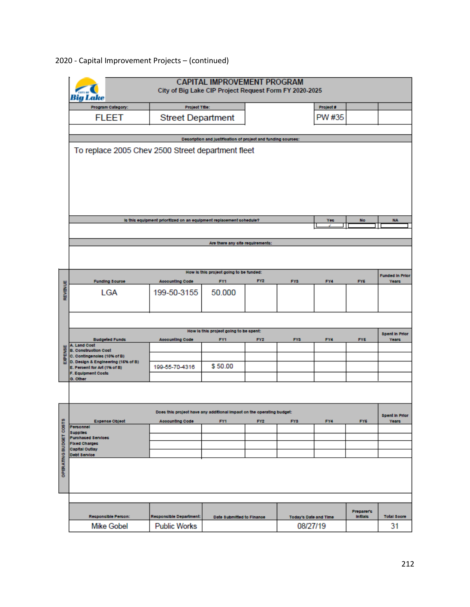|                        |                                                                    | City of Big Lake CIP Project Request Form FY 2020-2025                | <b>CAPITAL IMPROVEMENT PROGRAM</b>                            |                 |                       |           |                               |                                 |
|------------------------|--------------------------------------------------------------------|-----------------------------------------------------------------------|---------------------------------------------------------------|-----------------|-----------------------|-----------|-------------------------------|---------------------------------|
|                        | Program Category:                                                  | <b>Project Title:</b>                                                 |                                                               |                 |                       | Project # |                               |                                 |
|                        | <b>FLEET</b>                                                       | <b>Street Department</b>                                              |                                                               |                 |                       | PW #35    |                               |                                 |
|                        |                                                                    |                                                                       |                                                               |                 |                       |           |                               |                                 |
|                        | To replace 2005 Chev 2500 Street department fleet                  |                                                                       | Decoription and justification of project and funding cources: |                 |                       |           |                               |                                 |
|                        |                                                                    |                                                                       |                                                               |                 |                       |           |                               |                                 |
|                        |                                                                    |                                                                       |                                                               |                 |                       |           |                               |                                 |
|                        |                                                                    |                                                                       |                                                               |                 |                       |           |                               |                                 |
|                        |                                                                    |                                                                       |                                                               |                 |                       |           |                               |                                 |
|                        |                                                                    |                                                                       |                                                               |                 |                       |           |                               |                                 |
|                        |                                                                    | is this equipment prioritized on an equipment replacement schedule?   |                                                               |                 |                       | Yes       | No                            | <b>NA</b>                       |
|                        |                                                                    |                                                                       |                                                               |                 |                       |           |                               |                                 |
|                        |                                                                    |                                                                       | Are there any offerequirements:                               |                 |                       |           |                               |                                 |
|                        |                                                                    |                                                                       |                                                               |                 |                       |           |                               |                                 |
|                        |                                                                    |                                                                       | How is this project going to be funded:                       |                 |                       |           |                               |                                 |
|                        | <b>Funding Source</b>                                              | <b>Accounting Code</b>                                                | FY1                                                           | FY <sub>2</sub> | FY3                   | FY4       | FY6                           | <b>Funded In Prior</b><br>Years |
| REVENUE                | <b>LGA</b>                                                         | 199-50-3155                                                           | 50.000                                                        |                 |                       |           |                               |                                 |
|                        |                                                                    |                                                                       |                                                               |                 |                       |           |                               |                                 |
|                        |                                                                    |                                                                       |                                                               |                 |                       |           |                               |                                 |
|                        |                                                                    |                                                                       | How is this project going to be spent:                        |                 |                       |           |                               | <b>Spent In Prior</b>           |
|                        | <b>Budgeted Funds</b><br>A. Land Cost                              | <b>Accounting Code</b>                                                | FY1                                                           | FY <sub>2</sub> | FY3                   | FY4       | FY6                           | Years                           |
| EXPENSE                | <b>B. Construction Cost</b><br>C. Contingenoles (10% of B)         |                                                                       |                                                               |                 |                       |           |                               |                                 |
|                        | D. Decign & Engineering (15% of B)<br>E. Percent for Art (1% of B) | 199-55-70-4316                                                        | \$50.00                                                       |                 |                       |           |                               |                                 |
|                        | <b>F. Equipment Costs</b><br>G. Other                              |                                                                       |                                                               |                 |                       |           |                               |                                 |
|                        |                                                                    |                                                                       |                                                               |                 |                       |           |                               |                                 |
|                        |                                                                    |                                                                       |                                                               |                 |                       |           |                               |                                 |
|                        |                                                                    | Does this project have any additional impact on the operating budget: |                                                               |                 |                       |           |                               | <b>Spent In Prior</b>           |
|                        | <b>Expense Object</b><br>Personnel                                 | <b>Accounting Code</b>                                                | FY1                                                           | FY <sub>2</sub> | FY <sub>3</sub>       | FY4       | FY <sub>5</sub>               | Years                           |
|                        | <b>Supplies</b><br><b>Purchased Services</b>                       |                                                                       |                                                               |                 |                       |           |                               |                                 |
|                        | Fixed Charges<br><b>Capital Outlay</b>                             |                                                                       |                                                               |                 |                       |           |                               |                                 |
|                        | Debt Service                                                       |                                                                       |                                                               |                 |                       |           |                               |                                 |
| OPERATING BUDGET COSTS |                                                                    |                                                                       |                                                               |                 |                       |           |                               |                                 |
|                        |                                                                    |                                                                       |                                                               |                 |                       |           |                               |                                 |
|                        |                                                                    |                                                                       |                                                               |                 |                       |           |                               |                                 |
|                        |                                                                    |                                                                       |                                                               |                 |                       |           |                               |                                 |
|                        | Responsible Person:                                                | Responsible Department:                                               | Date Submitted to Finance                                     |                 | Today's Date and Time |           | Proparer's<br><b>Initials</b> | <b>Total Soore</b>              |
|                        | <b>Mike Gobel</b>                                                  | <b>Public Works</b>                                                   |                                                               |                 | 08/27/19              |           |                               | 31                              |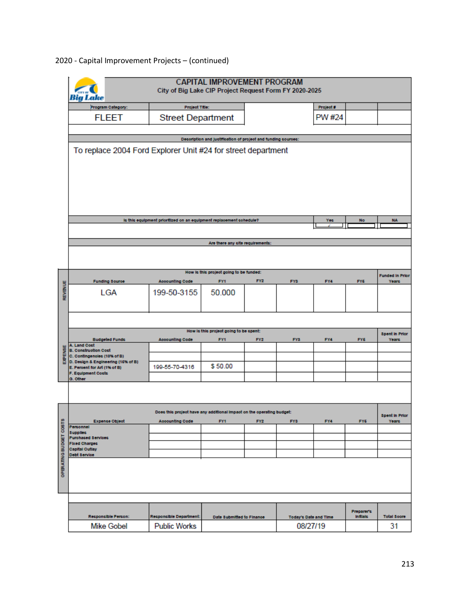|                  | <b>Big Lake</b>                                                   | City of Big Lake CIP Project Request Form FY 2020-2025                | <b>CAPITAL IMPROVEMENT PROGRAM</b>                            |                 |                              |           |                               |                                       |  |
|------------------|-------------------------------------------------------------------|-----------------------------------------------------------------------|---------------------------------------------------------------|-----------------|------------------------------|-----------|-------------------------------|---------------------------------------|--|
|                  | Program Category:                                                 | <b>Project Title:</b>                                                 |                                                               |                 |                              | Project # |                               |                                       |  |
|                  | <b>FLEET</b>                                                      | <b>Street Department</b>                                              |                                                               |                 |                              | PW #24    |                               |                                       |  |
|                  |                                                                   |                                                                       |                                                               |                 |                              |           |                               |                                       |  |
|                  |                                                                   |                                                                       | Decoription and justification of project and funding cources: |                 |                              |           |                               |                                       |  |
|                  | To replace 2004 Ford Explorer Unit #24 for street department      |                                                                       |                                                               |                 |                              |           |                               |                                       |  |
|                  |                                                                   | is this equipment prioritized on an equipment replacement schedule?   |                                                               |                 |                              | Yes       | No                            | <b>NA</b>                             |  |
|                  |                                                                   |                                                                       |                                                               |                 |                              |           |                               |                                       |  |
|                  |                                                                   |                                                                       | Are there any offerequirements:                               |                 |                              |           |                               |                                       |  |
|                  |                                                                   |                                                                       |                                                               |                 |                              |           |                               |                                       |  |
|                  |                                                                   |                                                                       |                                                               |                 |                              |           |                               |                                       |  |
|                  | <b>Funding Source</b>                                             | <b>Accounting Code</b>                                                | How is this project going to be funded:<br>FY1                | FY <sub>2</sub> | FY3                          | FY4       | FY <sub>6</sub>               | <b>Funded In Prior</b><br>Years       |  |
| REVENUE          | LGA                                                               | 199-50-3155                                                           | 50.000                                                        |                 |                              |           |                               |                                       |  |
|                  |                                                                   |                                                                       |                                                               |                 |                              |           |                               |                                       |  |
|                  | How is this project going to be spent:                            |                                                                       |                                                               |                 |                              |           |                               |                                       |  |
|                  | <b>Budgeted Funds</b>                                             | <b>Accounting Code</b>                                                | FY1                                                           | FY <sub>2</sub> | FY3                          | FY4       | FY6                           | <b>Spent In Prior</b><br><b>Years</b> |  |
|                  | A. Land Cost<br><b>B. Construction Cost</b>                       |                                                                       |                                                               |                 |                              |           |                               |                                       |  |
| EXPENSE          | C. Contingenoles (10% of B)<br>D. Design & Engineering (15% of B) |                                                                       |                                                               |                 |                              |           |                               |                                       |  |
|                  | E. Percent for Art (1% of B)<br><b>F. Equipment Costs</b>         | 199-55-70-4316                                                        | \$50.00                                                       |                 |                              |           |                               |                                       |  |
|                  | G. Other                                                          |                                                                       |                                                               |                 |                              |           |                               |                                       |  |
|                  |                                                                   |                                                                       |                                                               |                 |                              |           |                               |                                       |  |
|                  |                                                                   | Does this project have any additional impact on the operating budget: |                                                               |                 |                              |           |                               | <b>Spent In Prior</b>                 |  |
| COSTS            | <b>Exponse Object</b><br>Personnel                                | <b>Accounting Code</b>                                                | FY1                                                           | FY <sub>2</sub> | FY <sub>3</sub>              | FY4       | FY <sub>5</sub>               | Years                                 |  |
|                  | <b>Supplies</b><br><b>Purchased Services</b>                      |                                                                       |                                                               |                 |                              |           |                               |                                       |  |
|                  | <b>Fixed Charges</b>                                              |                                                                       |                                                               |                 |                              |           |                               |                                       |  |
|                  | <b>Capital Outlay</b><br>Debt Service                             |                                                                       |                                                               |                 |                              |           |                               |                                       |  |
| OPERATING BUDGET |                                                                   |                                                                       |                                                               |                 |                              |           |                               |                                       |  |
|                  |                                                                   |                                                                       |                                                               |                 |                              |           |                               |                                       |  |
|                  | Responsible Person:                                               | Responsible Department:                                               | Date Submitted to Finance                                     |                 | <b>Today's Date and Time</b> |           | Proparer's<br><b>Initials</b> | <b>Total Score</b>                    |  |
|                  | <b>Mike Gobel</b>                                                 | <b>Public Works</b>                                                   |                                                               |                 | 08/27/19                     |           |                               | 31                                    |  |